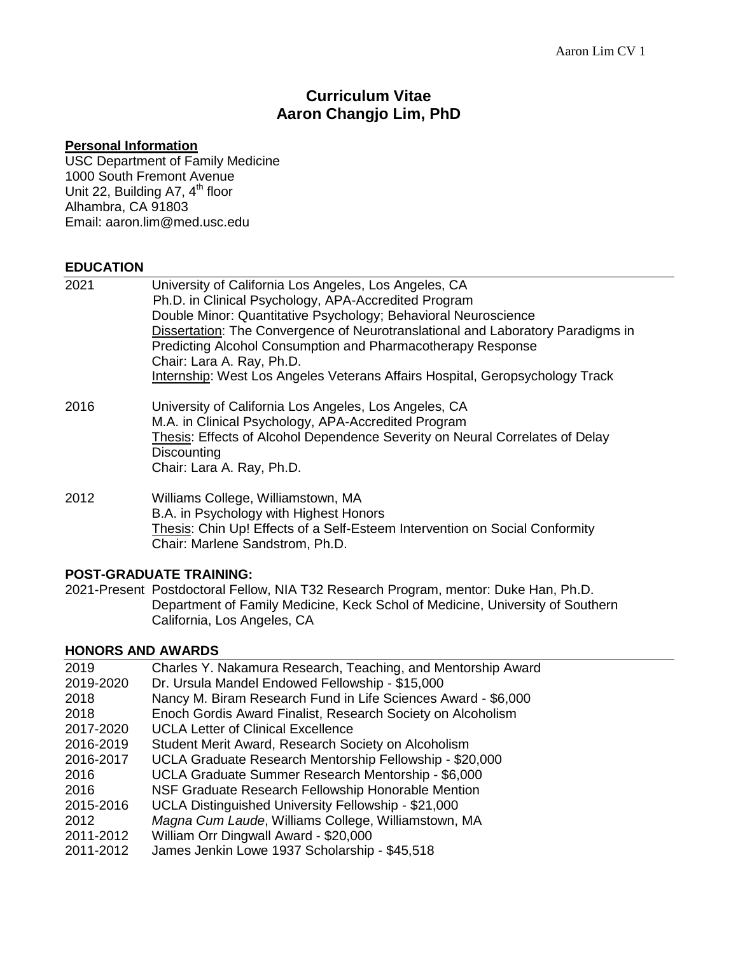# **Curriculum Vitae Aaron Changjo Lim, PhD**

### **Personal Information**

USC Department of Family Medicine 1000 South Fremont Avenue Unit 22, Building A7, 4<sup>th</sup> floor Alhambra, CA 91803 Email: aaron.lim@med.usc.edu

# **EDUCATION**

| 2021 | University of California Los Angeles, Los Angeles, CA<br>Ph.D. in Clinical Psychology, APA-Accredited Program<br>Double Minor: Quantitative Psychology; Behavioral Neuroscience<br>Dissertation: The Convergence of Neurotranslational and Laboratory Paradigms in<br>Predicting Alcohol Consumption and Pharmacotherapy Response |
|------|-----------------------------------------------------------------------------------------------------------------------------------------------------------------------------------------------------------------------------------------------------------------------------------------------------------------------------------|
|      | Chair: Lara A. Ray, Ph.D.<br>Internship: West Los Angeles Veterans Affairs Hospital, Geropsychology Track                                                                                                                                                                                                                         |
| 2016 | University of California Los Angeles, Los Angeles, CA<br>M.A. in Clinical Psychology, APA-Accredited Program<br>Thesis: Effects of Alcohol Dependence Severity on Neural Correlates of Delay<br>Discounting<br>Chair: Lara A. Ray, Ph.D.                                                                                          |
| 2012 | Williams College, Williamstown, MA<br>B.A. in Psychology with Highest Honors<br><b>Thesis: Chin Up! Effects of a Self-Esteem Intervention on Social Conformity</b><br>Chair: Marlene Sandstrom, Ph.D.                                                                                                                             |

# **POST-GRADUATE TRAINING:**

2021-Present Postdoctoral Fellow, NIA T32 Research Program, mentor: Duke Han, Ph.D. Department of Family Medicine, Keck Schol of Medicine, University of Southern California, Los Angeles, CA

# **HONORS AND AWARDS**

| 2019      | Charles Y. Nakamura Research, Teaching, and Mentorship Award  |
|-----------|---------------------------------------------------------------|
| 2019-2020 | Dr. Ursula Mandel Endowed Fellowship - \$15,000               |
| 2018      | Nancy M. Biram Research Fund in Life Sciences Award - \$6,000 |
| 2018      | Enoch Gordis Award Finalist, Research Society on Alcoholism   |
| 2017-2020 | <b>UCLA Letter of Clinical Excellence</b>                     |
| 2016-2019 | Student Merit Award, Research Society on Alcoholism           |
| 2016-2017 | UCLA Graduate Research Mentorship Fellowship - \$20,000       |
| 2016      | UCLA Graduate Summer Research Mentorship - \$6,000            |
| 2016      | NSF Graduate Research Fellowship Honorable Mention            |
| 2015-2016 | UCLA Distinguished University Fellowship - \$21,000           |
| 2012      | Magna Cum Laude, Williams College, Williamstown, MA           |
| 2011-2012 | William Orr Dingwall Award - \$20,000                         |
| 2011-2012 | James Jenkin Lowe 1937 Scholarship - \$45,518                 |
|           |                                                               |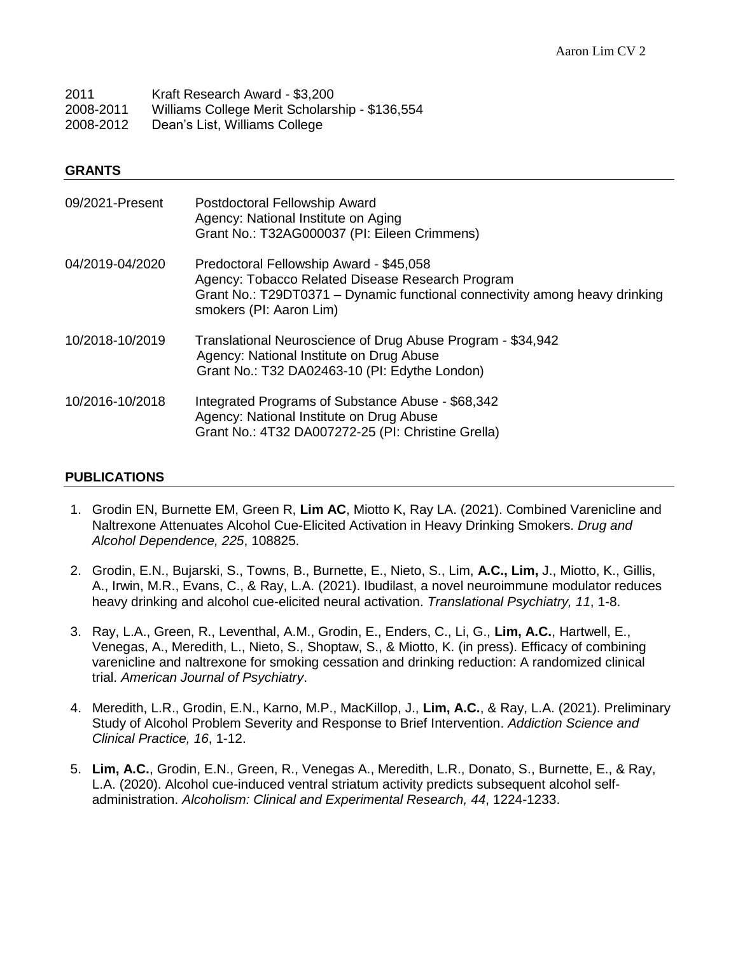| 2011      | Kraft Research Award - \$3,200                 |
|-----------|------------------------------------------------|
| 2008-2011 | Williams College Merit Scholarship - \$136,554 |
| 2008-2012 | Dean's List, Williams College                  |

### **GRANTS**

| 09/2021-Present | Postdoctoral Fellowship Award<br>Agency: National Institute on Aging<br>Grant No.: T32AG000037 (PI: Eileen Crimmens)                                                                                  |
|-----------------|-------------------------------------------------------------------------------------------------------------------------------------------------------------------------------------------------------|
| 04/2019-04/2020 | Predoctoral Fellowship Award - \$45,058<br>Agency: Tobacco Related Disease Research Program<br>Grant No.: T29DT0371 – Dynamic functional connectivity among heavy drinking<br>smokers (PI: Aaron Lim) |
| 10/2018-10/2019 | Translational Neuroscience of Drug Abuse Program - \$34,942<br>Agency: National Institute on Drug Abuse<br>Grant No.: T32 DA02463-10 (PI: Edythe London)                                              |
| 10/2016-10/2018 | Integrated Programs of Substance Abuse - \$68,342<br>Agency: National Institute on Drug Abuse<br>Grant No.: 4T32 DA007272-25 (PI: Christine Grella)                                                   |

### **PUBLICATIONS**

- 1. Grodin EN, Burnette EM, Green R, **Lim AC**, Miotto K, Ray LA. (2021). Combined Varenicline and Naltrexone Attenuates Alcohol Cue-Elicited Activation in Heavy Drinking Smokers. *Drug and Alcohol Dependence, 225*, 108825.
- 2. Grodin, E.N., Bujarski, S., Towns, B., Burnette, E., Nieto, S., Lim, **A.C., Lim,** J., Miotto, K., Gillis, A., Irwin, M.R., Evans, C., & Ray, L.A. (2021). Ibudilast, a novel neuroimmune modulator reduces heavy drinking and alcohol cue-elicited neural activation. *Translational Psychiatry, 11*, 1-8.
- 3. Ray, L.A., Green, R., Leventhal, A.M., Grodin, E., Enders, C., Li, G., **Lim, A.C.**, Hartwell, E., Venegas, A., Meredith, L., Nieto, S., Shoptaw, S., & Miotto, K. (in press). Efficacy of combining varenicline and naltrexone for smoking cessation and drinking reduction: A randomized clinical trial. *American Journal of Psychiatry*.
- 4. Meredith, L.R., Grodin, E.N., Karno, M.P., MacKillop, J., **Lim, A.C.**, & Ray, L.A. (2021). Preliminary Study of Alcohol Problem Severity and Response to Brief Intervention. *Addiction Science and Clinical Practice, 16*, 1-12.
- 5. **Lim, A.C.**, Grodin, E.N., Green, R., Venegas A., Meredith, L.R., Donato, S., Burnette, E., & Ray, L.A. (2020). Alcohol cue-induced ventral striatum activity predicts subsequent alcohol selfadministration. *Alcoholism: Clinical and Experimental Research, 44*, 1224-1233.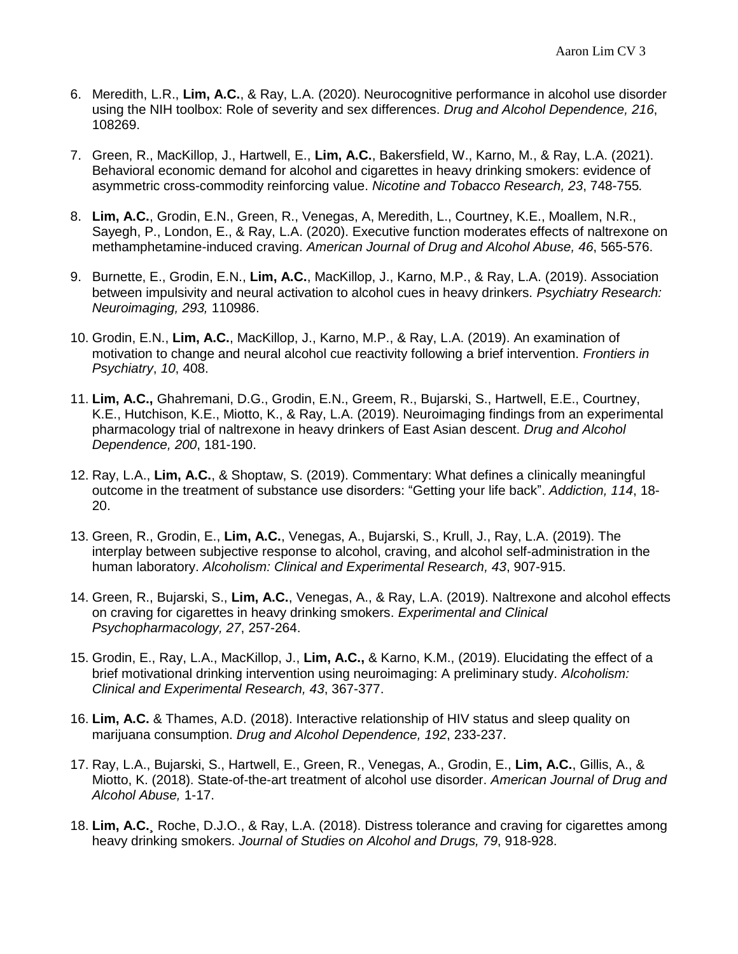- 6. Meredith, L.R., **Lim, A.C.**, & Ray, L.A. (2020). Neurocognitive performance in alcohol use disorder using the NIH toolbox: Role of severity and sex differences. *Drug and Alcohol Dependence, 216*, 108269.
- 7. Green, R., MacKillop, J., Hartwell, E., **Lim, A.C.**, Bakersfield, W., Karno, M., & Ray, L.A. (2021). Behavioral economic demand for alcohol and cigarettes in heavy drinking smokers: evidence of asymmetric cross-commodity reinforcing value. *Nicotine and Tobacco Research, 23*, 748-755*.*
- 8. **Lim, A.C.**, Grodin, E.N., Green, R., Venegas, A, Meredith, L., Courtney, K.E., Moallem, N.R., Sayegh, P., London, E., & Ray, L.A. (2020). Executive function moderates effects of naltrexone on methamphetamine-induced craving. *American Journal of Drug and Alcohol Abuse, 46*, 565-576.
- 9. Burnette, E., Grodin, E.N., **Lim, A.C.**, MacKillop, J., Karno, M.P., & Ray, L.A. (2019). Association between impulsivity and neural activation to alcohol cues in heavy drinkers. *Psychiatry Research: Neuroimaging, 293,* 110986.
- 10. Grodin, E.N., **Lim, A.C.**, MacKillop, J., Karno, M.P., & Ray, L.A. (2019). An examination of motivation to change and neural alcohol cue reactivity following a brief intervention. *Frontiers in Psychiatry*, *10*, 408.
- 11. **Lim, A.C.,** Ghahremani, D.G., Grodin, E.N., Greem, R., Bujarski, S., Hartwell, E.E., Courtney, K.E., Hutchison, K.E., Miotto, K., & Ray, L.A. (2019). Neuroimaging findings from an experimental pharmacology trial of naltrexone in heavy drinkers of East Asian descent. *Drug and Alcohol Dependence, 200*, 181-190.
- 12. Ray, L.A., **Lim, A.C.**, & Shoptaw, S. (2019). Commentary: What defines a clinically meaningful outcome in the treatment of substance use disorders: "Getting your life back". *Addiction, 114*, 18- 20.
- 13. Green, R., Grodin, E., **Lim, A.C.**, Venegas, A., Bujarski, S., Krull, J., Ray, L.A. (2019). The interplay between subjective response to alcohol, craving, and alcohol self-administration in the human laboratory. *Alcoholism: Clinical and Experimental Research, 43*, 907-915.
- 14. Green, R., Bujarski, S., **Lim, A.C.**, Venegas, A., & Ray, L.A. (2019). Naltrexone and alcohol effects on craving for cigarettes in heavy drinking smokers. *Experimental and Clinical Psychopharmacology, 27*, 257-264.
- 15. Grodin, E., Ray, L.A., MacKillop, J., **Lim, A.C.,** & Karno, K.M., (2019). Elucidating the effect of a brief motivational drinking intervention using neuroimaging: A preliminary study. *Alcoholism: Clinical and Experimental Research, 43*, 367-377.
- 16. **Lim, A.C.** & Thames, A.D. (2018). Interactive relationship of HIV status and sleep quality on marijuana consumption. *Drug and Alcohol Dependence, 192*, 233-237.
- 17. Ray, L.A., Bujarski, S., Hartwell, E., Green, R., Venegas, A., Grodin, E., **Lim, A.C.**, Gillis, A., & Miotto, K. (2018). State-of-the-art treatment of alcohol use disorder. *American Journal of Drug and Alcohol Abuse,* 1-17.
- 18. **Lim, A.C.¸** Roche, D.J.O., & Ray, L.A. (2018). Distress tolerance and craving for cigarettes among heavy drinking smokers. *Journal of Studies on Alcohol and Drugs, 79*, 918-928.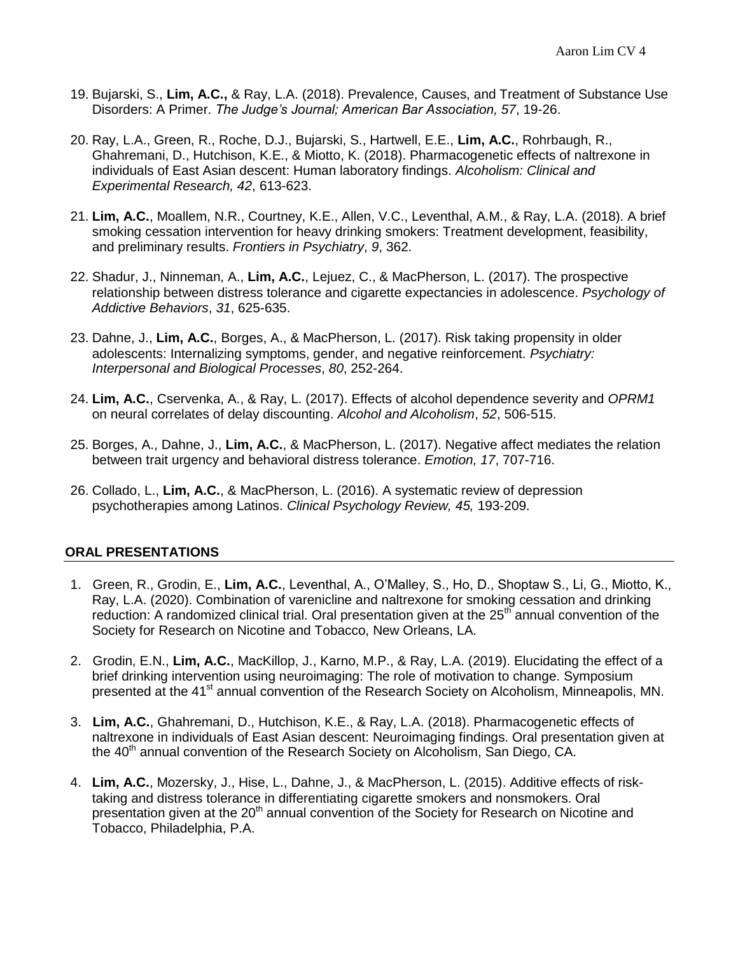- 19. Bujarski, S., **Lim, A.C.,** & Ray, L.A. (2018). Prevalence, Causes, and Treatment of Substance Use Disorders: A Primer. *The Judge's Journal; American Bar Association, 57*, 19-26.
- 20. Ray, L.A., Green, R., Roche, D.J., Bujarski, S., Hartwell, E.E., **Lim, A.C.**, Rohrbaugh, R., Ghahremani, D., Hutchison, K.E., & Miotto, K. (2018). Pharmacogenetic effects of naltrexone in individuals of East Asian descent: Human laboratory findings. *Alcoholism: Clinical and Experimental Research, 42*, 613-623.
- 21. **Lim, A.C.**, Moallem, N.R., Courtney, K.E., Allen, V.C., Leventhal, A.M., & Ray, L.A. (2018). A brief smoking cessation intervention for heavy drinking smokers: Treatment development, feasibility, and preliminary results. *Frontiers in Psychiatry*, *9*, 362.
- 22. Shadur, J., Ninneman, A., **Lim, A.C.**, Lejuez, C., & MacPherson, L. (2017). The prospective relationship between distress tolerance and cigarette expectancies in adolescence. *Psychology of Addictive Behaviors*, *31*, 625-635.
- 23. Dahne, J., **Lim, A.C.**, Borges, A., & MacPherson, L. (2017). Risk taking propensity in older adolescents: Internalizing symptoms, gender, and negative reinforcement. *Psychiatry: Interpersonal and Biological Processes*, *80*, 252-264.
- 24. **Lim, A.C.**, Cservenka, A., & Ray, L. (2017). Effects of alcohol dependence severity and *OPRM1* on neural correlates of delay discounting. *Alcohol and Alcoholism*, *52*, 506-515.
- 25. Borges, A., Dahne, J., **Lim, A.C.**, & MacPherson, L. (2017). Negative affect mediates the relation between trait urgency and behavioral distress tolerance. *Emotion, 17*, 707-716.
- 26. Collado, L., **Lim, A.C.**, & MacPherson, L. (2016). A systematic review of depression psychotherapies among Latinos. *Clinical Psychology Review, 45,* 193-209.

# **ORAL PRESENTATIONS**

- 1. Green, R., Grodin, E., **Lim, A.C.**, Leventhal, A., O'Malley, S., Ho, D., Shoptaw S., Li, G., Miotto, K., Ray, L.A. (2020). Combination of varenicline and naltrexone for smoking cessation and drinking reduction: A randomized clinical trial. Oral presentation given at the  $25<sup>th</sup>$  annual convention of the Society for Research on Nicotine and Tobacco, New Orleans, LA.
- 2. Grodin, E.N., **Lim, A.C.**, MacKillop, J., Karno, M.P., & Ray, L.A. (2019). Elucidating the effect of a brief drinking intervention using neuroimaging: The role of motivation to change. Symposium presented at the 41<sup>st</sup> annual convention of the Research Society on Alcoholism, Minneapolis, MN.
- 3. **Lim, A.C.**, Ghahremani, D., Hutchison, K.E., & Ray, L.A. (2018). Pharmacogenetic effects of naltrexone in individuals of East Asian descent: Neuroimaging findings. Oral presentation given at the 40<sup>th</sup> annual convention of the Research Society on Alcoholism, San Diego, CA.
- 4. **Lim, A.C.**, Mozersky, J., Hise, L., Dahne, J., & MacPherson, L. (2015). Additive effects of risktaking and distress tolerance in differentiating cigarette smokers and nonsmokers. Oral presentation given at the 20<sup>th</sup> annual convention of the Society for Research on Nicotine and Tobacco, Philadelphia, P.A.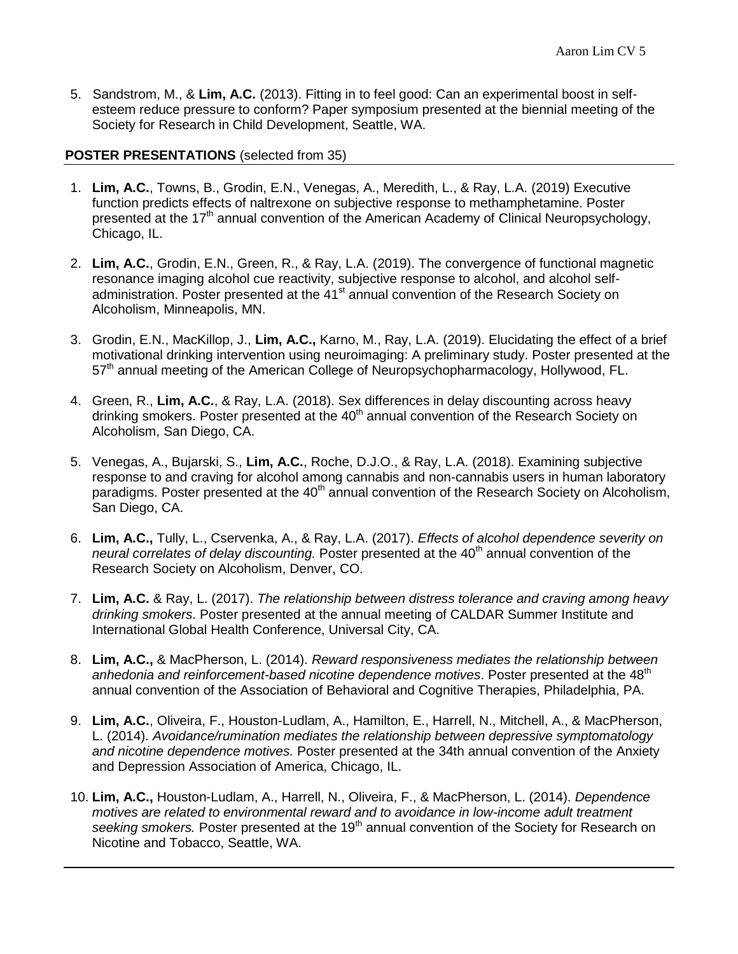5. Sandstrom, M., & **Lim, A.C.** (2013). Fitting in to feel good: Can an experimental boost in selfesteem reduce pressure to conform? Paper symposium presented at the biennial meeting of the Society for Research in Child Development, Seattle, WA.

# **POSTER PRESENTATIONS** (selected from 35)

- 1. **Lim, A.C.**, Towns, B., Grodin, E.N., Venegas, A., Meredith, L., & Ray, L.A. (2019) Executive function predicts effects of naltrexone on subjective response to methamphetamine. Poster presented at the  $17<sup>th</sup>$  annual convention of the American Academy of Clinical Neuropsychology, Chicago, IL.
- 2. **Lim, A.C.**, Grodin, E.N., Green, R., & Ray, L.A. (2019). The convergence of functional magnetic resonance imaging alcohol cue reactivity, subjective response to alcohol, and alcohol selfadministration. Poster presented at the 41<sup>st</sup> annual convention of the Research Society on Alcoholism, Minneapolis, MN.
- 3. Grodin, E.N., MacKillop, J., **Lim, A.C.,** Karno, M., Ray, L.A. (2019). Elucidating the effect of a brief motivational drinking intervention using neuroimaging: A preliminary study. Poster presented at the 57<sup>th</sup> annual meeting of the American College of Neuropsychopharmacology, Hollywood, FL.
- 4. Green, R., **Lim, A.C.**, & Ray, L.A. (2018). Sex differences in delay discounting across heavy drinking smokers. Poster presented at the 40<sup>th</sup> annual convention of the Research Society on Alcoholism, San Diego, CA.
- 5. Venegas, A., Bujarski, S., **Lim, A.C.**, Roche, D.J.O., & Ray, L.A. (2018). Examining subjective response to and craving for alcohol among cannabis and non-cannabis users in human laboratory paradigms. Poster presented at the 40<sup>th</sup> annual convention of the Research Society on Alcoholism. San Diego, CA.
- 6. **Lim, A.C.,** Tully, L., Cservenka, A., & Ray, L.A. (2017). *Effects of alcohol dependence severity on neural correlates of delay discounting.* Poster presented at the 40<sup>th</sup> annual convention of the Research Society on Alcoholism, Denver, CO.
- 7. **Lim, A.C.** & Ray, L. (2017). *The relationship between distress tolerance and craving among heavy drinking smokers*. Poster presented at the annual meeting of CALDAR Summer Institute and International Global Health Conference, Universal City, CA.
- 8. **Lim, A.C.,** & MacPherson, L. (2014). *Reward responsiveness mediates the relationship between*  anhedonia and reinforcement-based nicotine dependence motives. Poster presented at the 48<sup>th</sup> annual convention of the Association of Behavioral and Cognitive Therapies, Philadelphia, PA.
- 9. **Lim, A.C.**, Oliveira, F., Houston-Ludlam, A., Hamilton, E., Harrell, N., Mitchell, A., & MacPherson, L. (2014). *Avoidance/rumination mediates the relationship between depressive symptomatology and nicotine dependence motives.* Poster presented at the 34th annual convention of the Anxiety and Depression Association of America, Chicago, IL.
- 10. **Lim, A.C.,** Houston-Ludlam, A., Harrell, N., Oliveira, F., & MacPherson, L. (2014). *Dependence motives are related to environmental reward and to avoidance in low-income adult treatment* seeking smokers. Poster presented at the 19<sup>th</sup> annual convention of the Society for Research on Nicotine and Tobacco, Seattle, WA.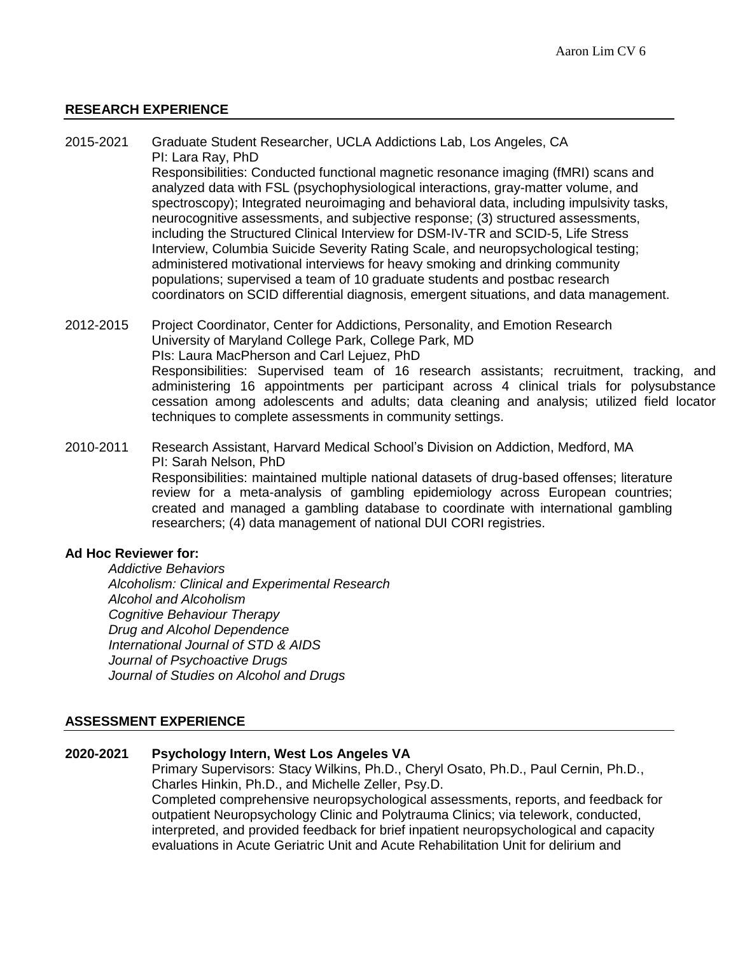# **RESEARCH EXPERIENCE**

- 2015-2021 Graduate Student Researcher, UCLA Addictions Lab, Los Angeles, CA PI: Lara Ray, PhD Responsibilities: Conducted functional magnetic resonance imaging (fMRI) scans and analyzed data with FSL (psychophysiological interactions, gray-matter volume, and spectroscopy); Integrated neuroimaging and behavioral data, including impulsivity tasks, neurocognitive assessments, and subjective response; (3) structured assessments, including the Structured Clinical Interview for DSM-IV-TR and SCID-5, Life Stress Interview, Columbia Suicide Severity Rating Scale, and neuropsychological testing; administered motivational interviews for heavy smoking and drinking community populations; supervised a team of 10 graduate students and postbac research coordinators on SCID differential diagnosis, emergent situations, and data management.
- 2012-2015 Project Coordinator, Center for Addictions, Personality, and Emotion Research University of Maryland College Park, College Park, MD PIs: Laura MacPherson and Carl Lejuez, PhD Responsibilities: Supervised team of 16 research assistants; recruitment, tracking, and administering 16 appointments per participant across 4 clinical trials for polysubstance cessation among adolescents and adults; data cleaning and analysis; utilized field locator techniques to complete assessments in community settings.
- 2010-2011 Research Assistant, Harvard Medical School's Division on Addiction, Medford, MA PI: Sarah Nelson, PhD Responsibilities: maintained multiple national datasets of drug-based offenses; literature review for a meta-analysis of gambling epidemiology across European countries; created and managed a gambling database to coordinate with international gambling researchers; (4) data management of national DUI CORI registries.

#### **Ad Hoc Reviewer for:**

*Addictive Behaviors Alcoholism: Clinical and Experimental Research Alcohol and Alcoholism Cognitive Behaviour Therapy Drug and Alcohol Dependence International Journal of STD & AIDS Journal of Psychoactive Drugs Journal of Studies on Alcohol and Drugs*

# **ASSESSMENT EXPERIENCE**

#### **2020-2021 Psychology Intern, West Los Angeles VA**

Primary Supervisors: Stacy Wilkins, Ph.D., Cheryl Osato, Ph.D., Paul Cernin, Ph.D., Charles Hinkin, Ph.D., and Michelle Zeller, Psy.D. Completed comprehensive neuropsychological assessments, reports, and feedback for outpatient Neuropsychology Clinic and Polytrauma Clinics; via telework, conducted, interpreted, and provided feedback for brief inpatient neuropsychological and capacity evaluations in Acute Geriatric Unit and Acute Rehabilitation Unit for delirium and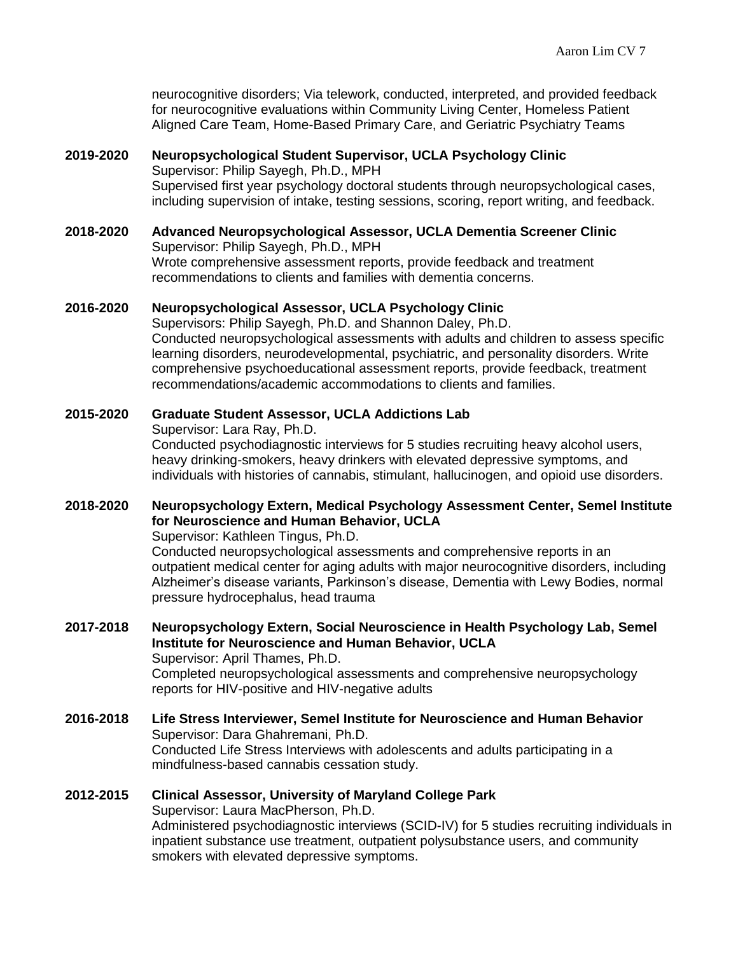neurocognitive disorders; Via telework, conducted, interpreted, and provided feedback for neurocognitive evaluations within Community Living Center, Homeless Patient Aligned Care Team, Home-Based Primary Care, and Geriatric Psychiatry Teams

### **2019-2020 Neuropsychological Student Supervisor, UCLA Psychology Clinic** Supervisor: Philip Sayegh, Ph.D., MPH Supervised first year psychology doctoral students through neuropsychological cases, including supervision of intake, testing sessions, scoring, report writing, and feedback.

**2018-2020 Advanced Neuropsychological Assessor, UCLA Dementia Screener Clinic** Supervisor: Philip Sayegh, Ph.D., MPH Wrote comprehensive assessment reports, provide feedback and treatment recommendations to clients and families with dementia concerns.

### **2016-2020 Neuropsychological Assessor, UCLA Psychology Clinic**

Supervisors: Philip Sayegh, Ph.D. and Shannon Daley, Ph.D. Conducted neuropsychological assessments with adults and children to assess specific learning disorders, neurodevelopmental, psychiatric, and personality disorders. Write comprehensive psychoeducational assessment reports, provide feedback, treatment recommendations/academic accommodations to clients and families.

# **2015-2020 Graduate Student Assessor, UCLA Addictions Lab** Supervisor: Lara Ray, Ph.D. Conducted psychodiagnostic interviews for 5 studies recruiting heavy alcohol users, heavy drinking-smokers, heavy drinkers with elevated depressive symptoms, and individuals with histories of cannabis, stimulant, hallucinogen, and opioid use disorders.

# **2018-2020 Neuropsychology Extern, Medical Psychology Assessment Center, Semel Institute for Neuroscience and Human Behavior, UCLA**

Supervisor: Kathleen Tingus, Ph.D.

Conducted neuropsychological assessments and comprehensive reports in an outpatient medical center for aging adults with major neurocognitive disorders, including Alzheimer's disease variants, Parkinson's disease, Dementia with Lewy Bodies, normal pressure hydrocephalus, head trauma

#### **2017-2018 Neuropsychology Extern, Social Neuroscience in Health Psychology Lab, Semel Institute for Neuroscience and Human Behavior, UCLA** Supervisor: April Thames, Ph.D. Completed neuropsychological assessments and comprehensive neuropsychology reports for HIV-positive and HIV-negative adults

**2016-2018 Life Stress Interviewer, Semel Institute for Neuroscience and Human Behavior** Supervisor: Dara Ghahremani, Ph.D. Conducted Life Stress Interviews with adolescents and adults participating in a mindfulness-based cannabis cessation study.

### **2012-2015 Clinical Assessor, University of Maryland College Park**  Supervisor: Laura MacPherson, Ph.D. Administered psychodiagnostic interviews (SCID-IV) for 5 studies recruiting individuals in inpatient substance use treatment, outpatient polysubstance users, and community smokers with elevated depressive symptoms.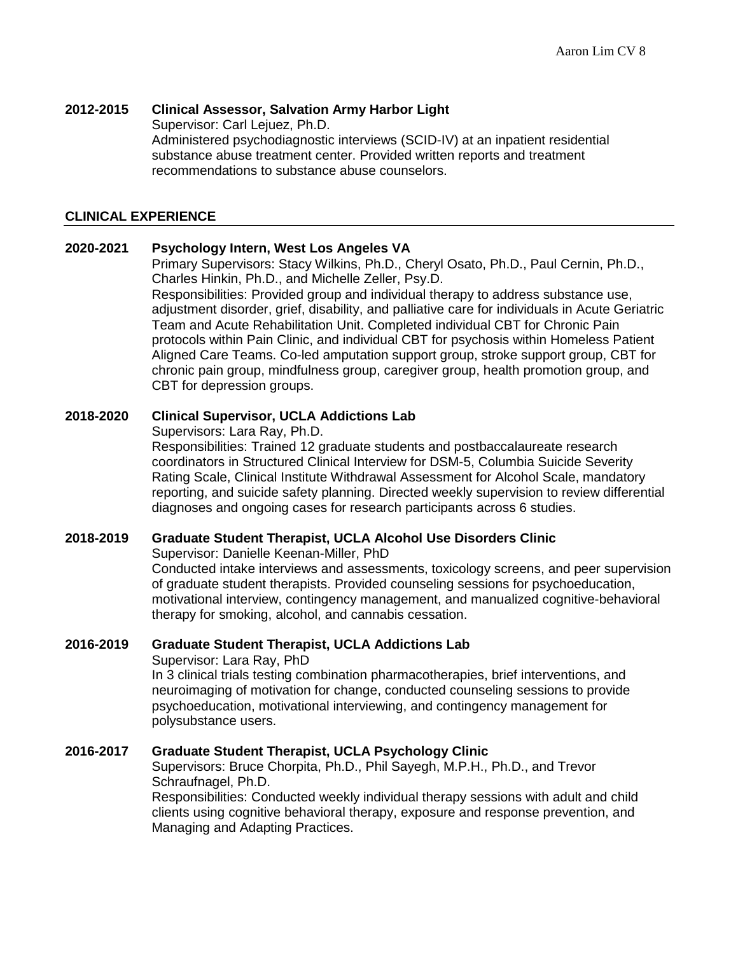# **2012-2015 Clinical Assessor, Salvation Army Harbor Light**

Supervisor: Carl Lejuez, Ph.D. Administered psychodiagnostic interviews (SCID-IV) at an inpatient residential substance abuse treatment center. Provided written reports and treatment recommendations to substance abuse counselors.

# **CLINICAL EXPERIENCE**

### **2020-2021 Psychology Intern, West Los Angeles VA**

Primary Supervisors: Stacy Wilkins, Ph.D., Cheryl Osato, Ph.D., Paul Cernin, Ph.D., Charles Hinkin, Ph.D., and Michelle Zeller, Psy.D.

Responsibilities: Provided group and individual therapy to address substance use, adjustment disorder, grief, disability, and palliative care for individuals in Acute Geriatric Team and Acute Rehabilitation Unit. Completed individual CBT for Chronic Pain protocols within Pain Clinic, and individual CBT for psychosis within Homeless Patient Aligned Care Teams. Co-led amputation support group, stroke support group, CBT for chronic pain group, mindfulness group, caregiver group, health promotion group, and CBT for depression groups.

### **2018-2020 Clinical Supervisor, UCLA Addictions Lab**

Supervisors: Lara Ray, Ph.D.

Responsibilities: Trained 12 graduate students and postbaccalaureate research coordinators in Structured Clinical Interview for DSM-5, Columbia Suicide Severity Rating Scale, Clinical Institute Withdrawal Assessment for Alcohol Scale, mandatory reporting, and suicide safety planning. Directed weekly supervision to review differential diagnoses and ongoing cases for research participants across 6 studies.

# **2018-2019 Graduate Student Therapist, UCLA Alcohol Use Disorders Clinic**

Supervisor: Danielle Keenan-Miller, PhD

Conducted intake interviews and assessments, toxicology screens, and peer supervision of graduate student therapists. Provided counseling sessions for psychoeducation, motivational interview, contingency management, and manualized cognitive-behavioral therapy for smoking, alcohol, and cannabis cessation.

# **2016-2019 Graduate Student Therapist, UCLA Addictions Lab**

Supervisor: Lara Ray, PhD

In 3 clinical trials testing combination pharmacotherapies, brief interventions, and neuroimaging of motivation for change, conducted counseling sessions to provide psychoeducation, motivational interviewing, and contingency management for polysubstance users.

#### **2016-2017 Graduate Student Therapist, UCLA Psychology Clinic**

Supervisors: Bruce Chorpita, Ph.D., Phil Sayegh, M.P.H., Ph.D., and Trevor Schraufnagel, Ph.D.

Responsibilities: Conducted weekly individual therapy sessions with adult and child clients using cognitive behavioral therapy, exposure and response prevention, and Managing and Adapting Practices.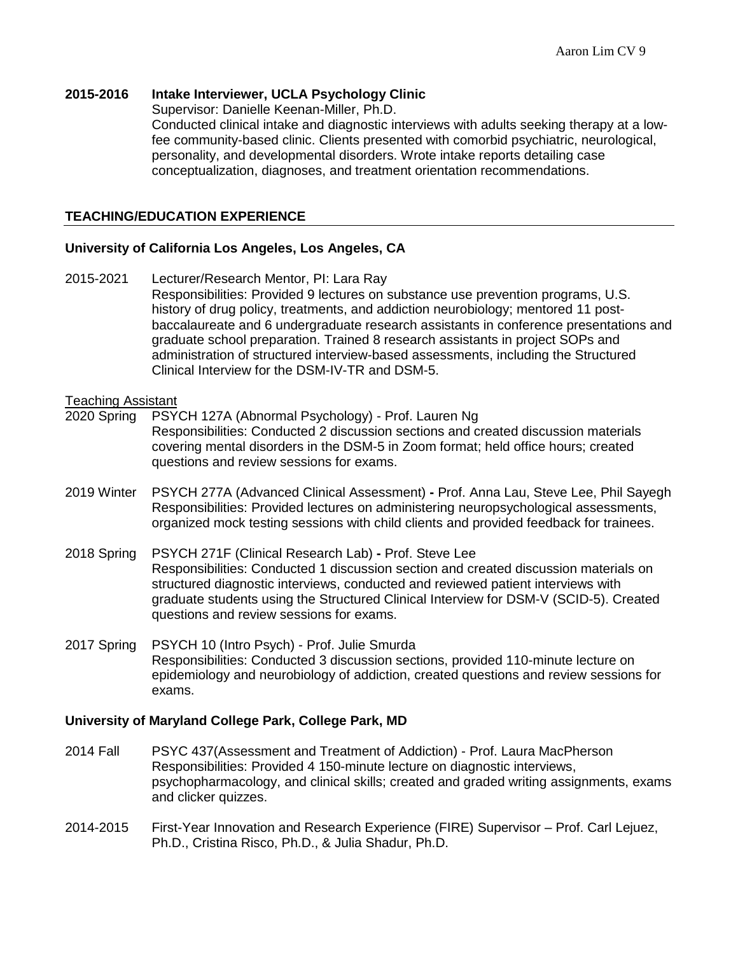### **2015-2016 Intake Interviewer, UCLA Psychology Clinic**

Supervisor: Danielle Keenan-Miller, Ph.D.

Conducted clinical intake and diagnostic interviews with adults seeking therapy at a lowfee community-based clinic. Clients presented with comorbid psychiatric, neurological, personality, and developmental disorders. Wrote intake reports detailing case conceptualization, diagnoses, and treatment orientation recommendations.

# **TEACHING/EDUCATION EXPERIENCE**

### **University of California Los Angeles, Los Angeles, CA**

2015-2021 Lecturer/Research Mentor, PI: Lara Ray Responsibilities: Provided 9 lectures on substance use prevention programs, U.S. history of drug policy, treatments, and addiction neurobiology; mentored 11 postbaccalaureate and 6 undergraduate research assistants in conference presentations and graduate school preparation. Trained 8 research assistants in project SOPs and administration of structured interview-based assessments, including the Structured Clinical Interview for the DSM-IV-TR and DSM-5.

#### Teaching Assistant

- 2020 Spring PSYCH 127A (Abnormal Psychology) Prof. Lauren Ng Responsibilities: Conducted 2 discussion sections and created discussion materials covering mental disorders in the DSM-5 in Zoom format; held office hours; created questions and review sessions for exams.
- 2019 Winter PSYCH 277A (Advanced Clinical Assessment) **-** Prof. Anna Lau, Steve Lee, Phil Sayegh Responsibilities: Provided lectures on administering neuropsychological assessments, organized mock testing sessions with child clients and provided feedback for trainees.
- 2018 Spring PSYCH 271F (Clinical Research Lab) **-** Prof. Steve Lee Responsibilities: Conducted 1 discussion section and created discussion materials on structured diagnostic interviews, conducted and reviewed patient interviews with graduate students using the Structured Clinical Interview for DSM-V (SCID-5). Created questions and review sessions for exams.
- 2017 Spring PSYCH 10 (Intro Psych) Prof. Julie Smurda Responsibilities: Conducted 3 discussion sections, provided 110-minute lecture on epidemiology and neurobiology of addiction, created questions and review sessions for exams.

#### **University of Maryland College Park, College Park, MD**

- 2014 Fall PSYC 437(Assessment and Treatment of Addiction) Prof. Laura MacPherson Responsibilities: Provided 4 150-minute lecture on diagnostic interviews, psychopharmacology, and clinical skills; created and graded writing assignments, exams and clicker quizzes.
- 2014-2015 First-Year Innovation and Research Experience (FIRE) Supervisor Prof. Carl Lejuez, Ph.D., Cristina Risco, Ph.D., & Julia Shadur, Ph.D.